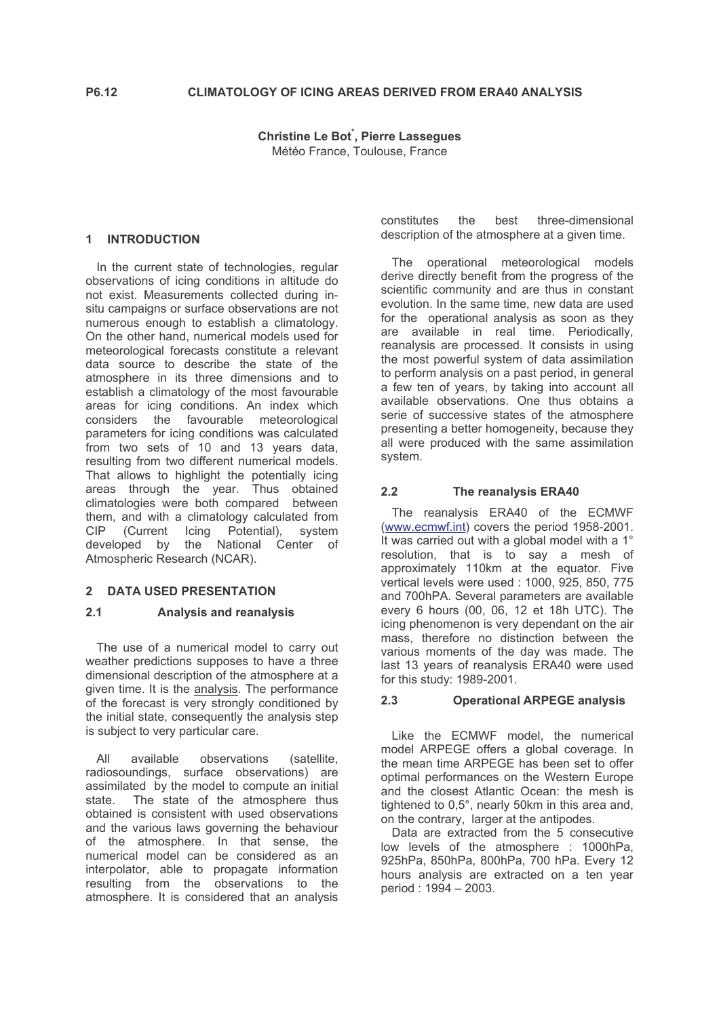**Christine Le Bot**, Pierre Lassegues Météo France, Toulouse, France

## 1 INTRODUCTION

In the current state of technologies, regular observations of icing conditions in altitude do not exist. Measurements collected during insitu campaigns or surface observations are not numerous enough to establish a climatology. On the other hand, numerical models used for meteorological forecasts constitute a relevant data source to describe the state of the atmosphere in its three dimensions and to establish a climatology of the most favourable areas for icing conditions. An index which considers the favourable meteorological parameters for icing conditions was calculated from two sets of 10 and 13 years data, resulting from two different numerical models. That allows to highlight the potentially icing areas through the year. Thus obtained climatologies were both compared between them, and with a climatology calculated from (Current Icing Potential),  $CIP$ system developed by the National Center of Atmospheric Research (NCAR).

# 2 DATA USED PRESENTATION

### $2.1$ **Analysis and reanalysis**

The use of a numerical model to carry out weather predictions supposes to have a three dimensional description of the atmosphere at a given time. It is the analysis. The performance of the forecast is very strongly conditioned by the initial state, consequently the analysis step is subject to very particular care.

available observations  $\Delta$ II (satellite. radiosoundings, surface observations) are assimilated by the model to compute an initial The state of the atmosphere thus state obtained is consistent with used observations and the various laws governing the behaviour of the atmosphere. In that sense, the numerical model can be considered as an interpolator, able to propagate information resulting from the observations to the atmosphere. It is considered that an analysis constitutes the hest three-dimensional description of the atmosphere at a given time.

The operational meteorological models derive directly benefit from the progress of the scientific community and are thus in constant evolution. In the same time, new data are used for the operational analysis as soon as they are available in real time. Periodically, reanalysis are processed. It consists in using the most powerful system of data assimilation to perform analysis on a past period, in general a few ten of years, by taking into account all available observations. One thus obtains a serie of successive states of the atmosphere presenting a better homogeneity, because they all were produced with the same assimilation system.

### $2.2$ The reanalysis ERA40

The reanalysis ERA40 of the ECMWF (www.ecmwf.int) covers the period 1958-2001. It was carried out with a global model with a 1° resolution, that is to say a mesh of approximately 110km at the equator. Five vertical levels were used : 1000, 925, 850, 775 and 700hPA. Several parameters are available every 6 hours (00, 06, 12 et 18h UTC). The icing phenomenon is very dependant on the air mass, therefore no distinction between the various moments of the day was made. The last 13 years of reanalysis ERA40 were used for this study: 1989-2001.

### $2<sub>3</sub>$ **Operational ARPEGE analysis**

Like the ECMWF model, the numerical model ARPEGE offers a global coverage. In the mean time ARPEGE has been set to offer optimal performances on the Western Europe and the closest Atlantic Ocean: the mesh is tightened to 0,5°, nearly 50km in this area and, on the contrary, larger at the antipodes.

Data are extracted from the 5 consecutive low levels of the atmosphere : 1000hPa, 925hPa, 850hPa, 800hPa, 700 hPa. Every 12 hours analysis are extracted on a ten year period: 1994 - 2003.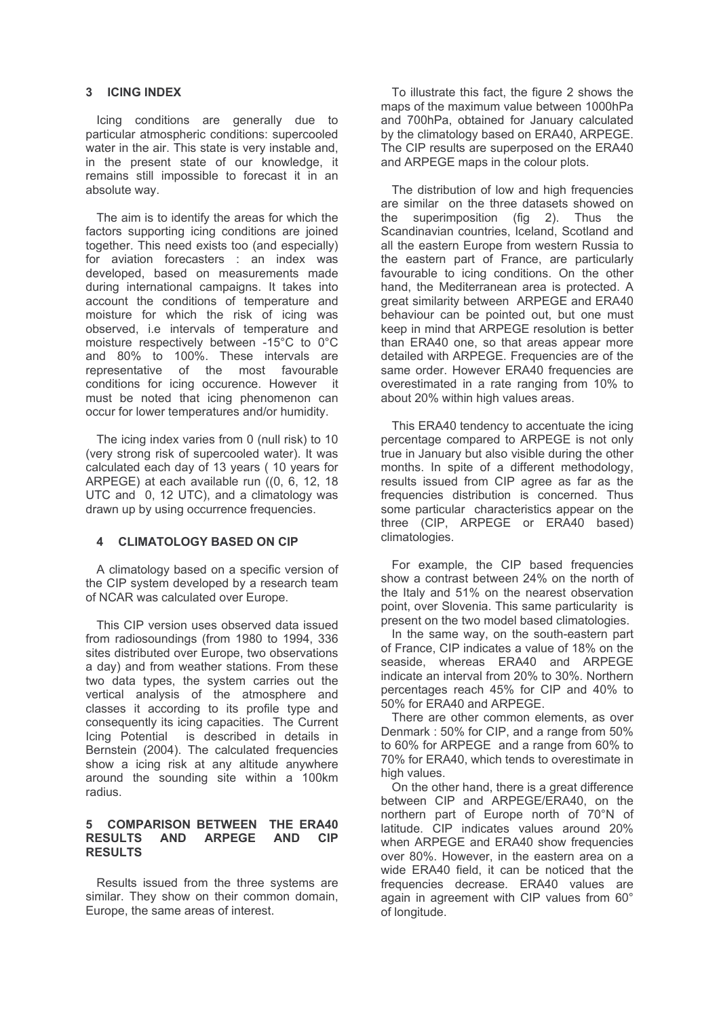# 3 ICING INDEX

Icing conditions are generally due to particular atmospheric conditions: supercooled water in the air. This state is very instable and, in the present state of our knowledge, it remains still impossible to forecast it in an absolute way.

The aim is to identify the areas for which the factors supporting icing conditions are joined together. This need exists too (and especially) for aviation forecasters : an index was developed, based on measurements made during international campaigns. It takes into account the conditions of temperature and moisture for which the risk of icing was observed, i.e intervals of temperature and moisture respectively between -15°C to 0°C and 80% to 100%. These intervals are representative of the most favourable conditions for icing occurence. However it must be noted that icing phenomenon can occur for lower temperatures and/or humidity.

The icing index varies from 0 (null risk) to 10 (very strong risk of supercooled water). It was calculated each day of 13 years (10 years for ARPEGE) at each available run ((0, 6, 12, 18) UTC and 0, 12 UTC), and a climatology was drawn up by using occurrence frequencies.

# **CLIMATOLOGY BASED ON CIP**

A climatology based on a specific version of the CIP system developed by a research team of NCAR was calculated over Europe.

This CIP version uses observed data issued from radiosoundings (from 1980 to 1994, 336 sites distributed over Europe, two observations a day) and from weather stations. From these two data types, the system carries out the vertical analysis of the atmosphere and classes it according to its profile type and consequently its icing capacities. The Current is described in details in Icing Potential Bernstein (2004). The calculated frequencies show a icing risk at any altitude anywhere around the sounding site within a 100km radius

### 5 COMPARISON BETWEEN THE ERA40 RESULTS AND ARPEGE AND CIP **RESULTS**

Results issued from the three systems are similar. They show on their common domain, Europe, the same areas of interest.

To illustrate this fact, the figure 2 shows the maps of the maximum value between 1000hPa and 700hPa, obtained for January calculated by the climatology based on ERA40, ARPEGE. The CIP results are superposed on the ERA40 and ARPEGE maps in the colour plots.

The distribution of low and high frequencies are similar on the three datasets showed on the superimposition  $(fiq \ 2)$ . Thus the Scandinavian countries, Iceland, Scotland and all the eastern Europe from western Russia to the eastern part of France, are particularly favourable to icing conditions. On the other hand, the Mediterranean area is protected. A great similarity between ARPEGE and ERA40 behaviour can be pointed out, but one must keep in mind that ARPEGE resolution is better than ERA40 one, so that areas appear more detailed with ARPEGE. Frequencies are of the same order. However ERA40 frequencies are overestimated in a rate ranging from 10% to about 20% within high values areas.

This ERA40 tendency to accentuate the icing percentage compared to ARPEGE is not only true in January but also visible during the other months. In spite of a different methodology, results issued from CIP agree as far as the frequencies distribution is concerned. Thus some particular characteristics appear on the three (CIP, ARPEGE or ERA40 based) climatologies.

For example, the CIP based frequencies show a contrast between 24% on the north of the Italy and 51% on the nearest observation point, over Slovenia. This same particularity is present on the two model based climatologies.

In the same way, on the south-eastern part of France. CIP indicates a value of 18% on the seaside, whereas ERA40 and ARPEGE indicate an interval from 20% to 30%. Northern percentages reach 45% for CIP and 40% to 50% for ERA40 and ARPEGE.

There are other common elements, as over Denmark: 50% for CIP, and a range from 50% to 60% for ARPEGE and a range from 60% to 70% for ERA40, which tends to overestimate in high values.

On the other hand, there is a great difference between CIP and ARPEGE/ERA40, on the northern part of Europe north of 70°N of latitude. CIP indicates values around 20% when ARPEGE and ERA40 show frequencies over 80%. However, in the eastern area on a wide ERA40 field, it can be noticed that the frequencies decrease. ERA40 values are again in agreement with CIP values from 60° of longitude.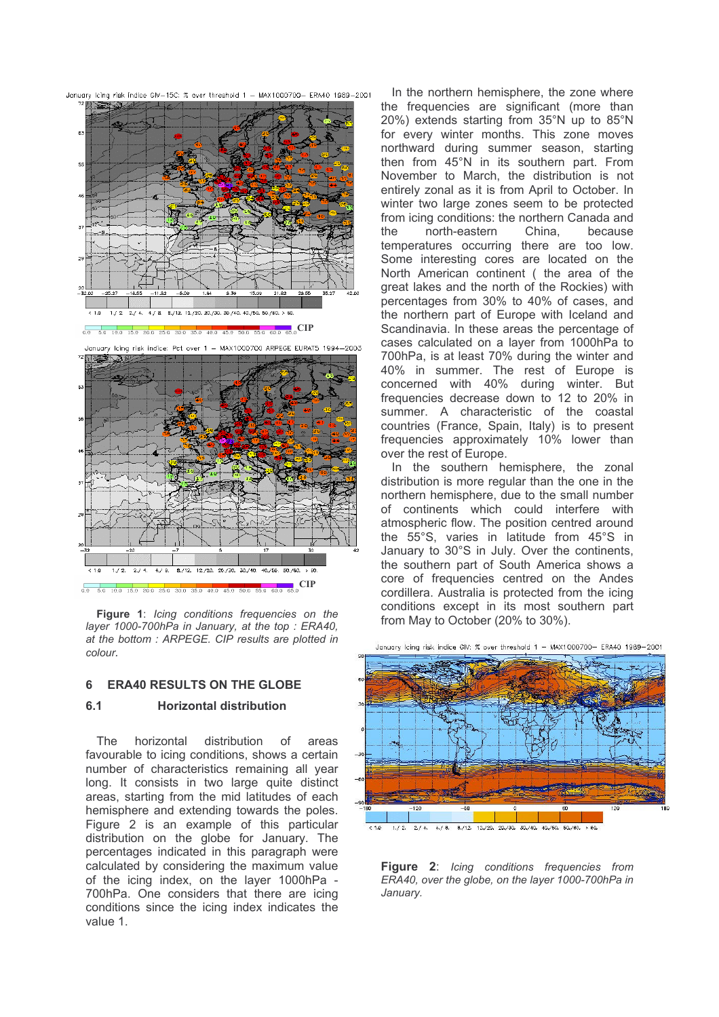

0.0 5.0 10.0 15.0 20.0 25.0 30.0 35.0 40.0 45.0 50.0 55.0 60.0 65.0 CIP Figure 1: Icing conditions frequencies on the layer 1000-700hPa in January, at the top: ERA40, at the bottom: ARPEGE. CIP results are plotted in colour.

8./12. 12./20. 20./30. 30./40

40./50. 50./60. > 60.

#### **ERA40 RESULTS ON THE GLOBE** 6

### $6.1$ **Horizontal distribution**

 $< 1.0$  $1./2.$  $2.74$  $4/8$ 

horizontal distribution The  $\cap$ f areas favourable to icing conditions, shows a certain number of characteristics remaining all year long. It consists in two large quite distinct areas, starting from the mid latitudes of each hemisphere and extending towards the poles. Figure 2 is an example of this particular distribution on the globe for January. The percentages indicated in this paragraph were calculated by considering the maximum value of the icing index, on the laver 1000hPa -700hPa. One considers that there are icing conditions since the icing index indicates the value 1.

In the northern hemisphere, the zone where the frequencies are significant (more than 20%) extends starting from 35°N up to 85°N for every winter months. This zone moves northward during summer season, starting then from 45°N in its southern part. From November to March, the distribution is not entirely zonal as it is from April to October. In winter two large zones seem to be protected from icing conditions: the northern Canada and the north-eastern China, because temperatures occurring there are too low. Some interesting cores are located on the North American continent (the area of the great lakes and the north of the Rockies) with percentages from 30% to 40% of cases, and the northern part of Europe with Iceland and Scandinavia. In these areas the percentage of cases calculated on a laver from 1000hPa to 700hPa, is at least 70% during the winter and 40% in summer. The rest of Europe is concerned with 40% during winter. But frequencies decrease down to 12 to 20% in summer. A characteristic of the coastal countries (France, Spain, Italy) is to present frequencies approximately 10% lower than over the rest of Europe.

In the southern hemisphere, the zonal distribution is more regular than the one in the northern hemisphere, due to the small number of continents which could interfere with atmospheric flow. The position centred around the 55°S, varies in latitude from 45°S in January to 30°S in July. Over the continents, the southern part of South America shows a core of frequencies centred on the Andes cordillera. Australia is protected from the icing conditions except in its most southern part from May to October (20% to 30%).



January Icing risk indice GIV: % over threshold 1 - MAX1000700- ERA40 1989-2001

Figure 2: Icing conditions frequencies from ERA40, over the globe, on the layer 1000-700hPa in January.